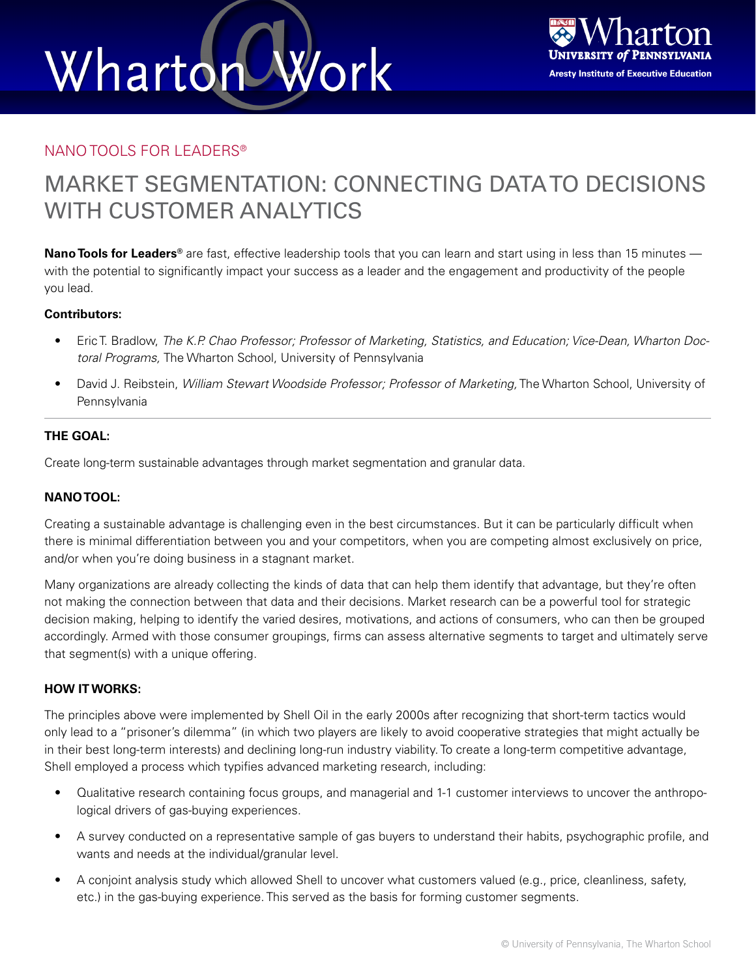## Wharton Work



### NANO TOOLS FOR LEADERS®

### MARKET SEGMENTATION: CONNECTING DATA TO DECISIONS WITH CUSTOMER ANALYTICS

**Nano Tools for Leaders®** are fast, effective leadership tools that you can learn and start using in less than 15 minutes with the potential to significantly impact your success as a leader and the engagement and productivity of the people you lead.

### **Contributors:**

- Eric T. Bradlow, *The K.P. Chao Professor; Professor of Marketing, Statistics, and Education; Vice-Dean, Wharton Doctoral Programs,* The Wharton School, University of Pennsylvania
- David J. Reibstein, *William Stewart Woodside Professor; Professor of Marketing,* The Wharton School, University of **Pennsylvania**

### **THE GOAL:**

Create long-term sustainable advantages through market segmentation and granular data.

### **NANO TOOL:**

Creating a sustainable advantage is challenging even in the best circumstances. But it can be particularly difficult when there is minimal differentiation between you and your competitors, when you are competing almost exclusively on price, and/or when you're doing business in a stagnant market.

Many organizations are already collecting the kinds of data that can help them identify that advantage, but they're often not making the connection between that data and their decisions. Market research can be a powerful tool for strategic decision making, helping to identify the varied desires, motivations, and actions of consumers, who can then be grouped accordingly. Armed with those consumer groupings, firms can assess alternative segments to target and ultimately serve that segment(s) with a unique offering.

### **HOW IT WORKS:**

The principles above were implemented by Shell Oil in the early 2000s after recognizing that short-term tactics would only lead to a "prisoner's dilemma" (in which two players are likely to avoid cooperative strategies that might actually be in their best long-term interests) and declining long-run industry viability. To create a long-term competitive advantage, Shell employed a process which typifies advanced marketing research, including:

- Qualitative research containing focus groups, and managerial and 1-1 customer interviews to uncover the anthropological drivers of gas-buying experiences.
- A survey conducted on a representative sample of gas buyers to understand their habits, psychographic profile, and wants and needs at the individual/granular level.
- A conjoint analysis study which allowed Shell to uncover what customers valued (e.g., price, cleanliness, safety, etc.) in the gas-buying experience. This served as the basis for forming customer segments.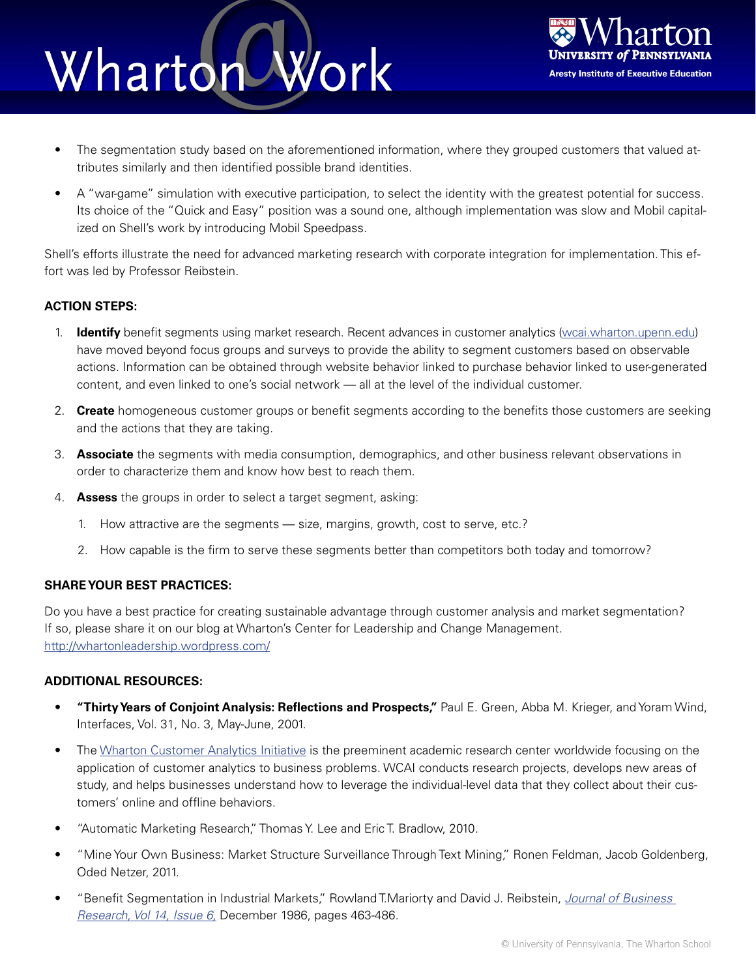### Work Wharton



- The segmentation study based on the aforementioned information, where they grouped customers that valued attributes similarly and then identified possible brand identities.
- A "war-game" simulation with executive participation, to select the identity with the greatest potential for success. Its choice of the "Quick and Easy" position was a sound one, although implementation was slow and Mobil capitalized on Shell's work by introducing Mobil Speedpass.

Shell's efforts illustrate the need for advanced marketing research with corporate integration for implementation. This effort was led by Professor Reibstein.

### **ACTION STEPS:**

- 1. **Identify** benefit segments using market research. Recent advances in customer analytics [\(wcai.wharton.upenn.edu](http://wcai.wharton.upenn.edu)) have moved beyond focus groups and surveys to provide the ability to segment customers based on observable actions. Information can be obtained through website behavior linked to purchase behavior linked to user-generated content, and even linked to one's social network — all at the level of the individual customer.
- 2. **Create** homogeneous customer groups or benefit segments according to the benefits those customers are seeking and the actions that they are taking.
- 3. **Associate** the segments with media consumption, demographics, and other business relevant observations in order to characterize them and know how best to reach them.
- 4. **Assess** the groups in order to select a target segment, asking:
	- 1. How attractive are the segments size, margins, growth, cost to serve, etc.?
	- 2. How capable is the firm to serve these segments better than competitors both today and tomorrow?

### **SHARE YOUR BEST PRACTICES:**

Do you have a best practice for creating sustainable advantage through customer analysis and market segmentation? If so, please share it on our blog at Wharton's Center for Leadership and Change Management. <http://whartonleadership.wordpress.com/>

### **ADDITIONAL RESOURCES:**

- **"Thirty Years of Conjoint Analysis: Reflections and Prospects,"** Paul E. Green, Abba M. Krieger, and Yoram Wind, Interfaces, Vol. 31, No. 3, May-June, 2001.
- The [Wharton Customer Analytics Initiative](http://wcai.wharton.upenn.edu) is the preeminent academic research center worldwide focusing on the application of customer analytics to business problems. WCAI conducts research projects, develops new areas of study, and helps businesses understand how to leverage the individual-level data that they collect about their customers' online and offline behaviors.
- "Automatic Marketing Research," Thomas Y. Lee and Eric T. Bradlow, 2010.
- "Mine Your Own Business: Market Structure Surveillance Through Text Mining," Ronen Feldman, Jacob Goldenberg, Oded Netzer, 2011.
- "Benefit Segmentation in Industrial Markets," Rowland T.Mariorty and David J. Reibstein, *[Journal of Business](http://www.sciencedirect.com/science?_ob=MImg&_imagekey=B6V7S-463XXHP-2-1&_cdi=5850&_user=489256&_pii=0148296386900093&_origin=browse&_zone=rslt_list_item&_coverDate=12%2F31%2F1986&_sk=999859993&wchp=dGLbVlb-zSkWA&md5=ca0a205ba334230f37335a8388986ef5&ie=/sdarticle.pdf)  [Research, Vol 14, Issue 6,](http://www.sciencedirect.com/science?_ob=MImg&_imagekey=B6V7S-463XXHP-2-1&_cdi=5850&_user=489256&_pii=0148296386900093&_origin=browse&_zone=rslt_list_item&_coverDate=12%2F31%2F1986&_sk=999859993&wchp=dGLbVlb-zSkWA&md5=ca0a205ba334230f37335a8388986ef5&ie=/sdarticle.pdf)* December 1986, pages 463-486.